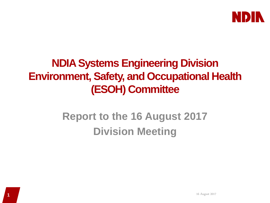

### **NDIASystems Engineering Division Environment, Safety, and Occupational Health (ESOH) Committee**

## **Report to the 16 August 2017 Division Meeting**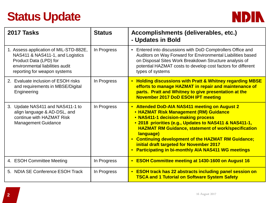# **Status Update**



| 2017 Tasks                                                                                                                                                              | <b>Status</b> | Accomplishments (deliverables, etc.)<br>- Updates in Bold                                                                                                                                                                                                                                                                                                                                                                               |
|-------------------------------------------------------------------------------------------------------------------------------------------------------------------------|---------------|-----------------------------------------------------------------------------------------------------------------------------------------------------------------------------------------------------------------------------------------------------------------------------------------------------------------------------------------------------------------------------------------------------------------------------------------|
| 1. Assess application of MIL-STD-882E,<br>NAS411 & NAS411-1, and Logistics<br>Product Data (LPD) for<br>environmental liabilities audit<br>reporting for weapon systems | In Progress   | Entered into discussions with DoD Comptrollers Office and<br>$\bullet$<br>Auditors on Way Forward for Environmental Liabilities based<br>on Disposal Sites Work Breakdown Structure analysis of<br>potential HAZMAT costs to develop cost factors for different<br>types of systems                                                                                                                                                     |
| 2. Evaluate inclusion of ESOH risks<br>and requirements in MBSE/Digital<br>Engineering                                                                                  | In Progress   | <b>Holding discussions with Pratt &amp; Whitney regarding MBSE</b><br>$\bullet$<br>efforts to manage HAZMAT in repair and maintenance of<br>parts. Pratt and Whitney to give presentation at the<br><b>November 2017 DoD ESOH IPT meeting</b>                                                                                                                                                                                           |
| 3. Update NAS411 and NAS411-1 to<br>align language & AD-DSL, and<br>continue with HAZMAT Risk<br><b>Management Guidance</b>                                             | In Progress   | • Attended DoD-AIA NAS411 meeting on August 2<br>• HAZMAT Risk Management (RM) Guidance<br>• NAS411-1 decision-making process<br>• 2018 priorities (e.g., Updates to NAS411 & NAS411-1,<br><b>HAZMAT RM Guidance, statement of work/specification</b><br>language)<br><b>Continuing development of the HAZMAT RM Guidance;</b><br>initial draft targeted for November 2017<br><b>Participating in bi-monthly AIA NAS411 WG meetings</b> |
| 4. ESOH Committee Meeting                                                                                                                                               | In Progress   | • ESOH Committee meeting at 1430-1600 on August 16                                                                                                                                                                                                                                                                                                                                                                                      |
| 5. NDIA SE Conference ESOH Track                                                                                                                                        | In Progress   | <b>ESOH track has 22 abstracts including panel session on</b><br>$\bullet$<br><b>TSCA and 1 Tutorial on Software System Safety</b>                                                                                                                                                                                                                                                                                                      |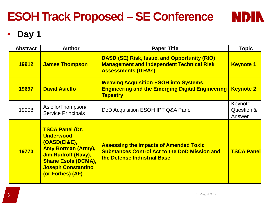# **ESOH Track Proposed – SE Conference**

### • **Day 1**

| <b>Abstract</b> | <b>Author</b>                                                                                                                                                                                        | <b>Paper Title</b>                                                                                                                    | <b>Topic</b>                    |
|-----------------|------------------------------------------------------------------------------------------------------------------------------------------------------------------------------------------------------|---------------------------------------------------------------------------------------------------------------------------------------|---------------------------------|
| 19912           | <b>James Thompson</b>                                                                                                                                                                                | <b>DASD (SE) Risk, Issue, and Opportunity (RIO)</b><br><b>Management and Independent Technical Risk</b><br><b>Assessments (ITRAs)</b> | <b>Keynote 1</b>                |
| 19697           | <b>David Asiello</b>                                                                                                                                                                                 | <b>Weaving Acquisition ESOH into Systems</b><br><b>Engineering and the Emerging Digital Engineering</b><br><b>Tapestry</b>            | <b>Keynote 2</b>                |
| 19908           | Asiello/Thompson/<br><b>Service Principals</b>                                                                                                                                                       | DoD Acquisition ESOH IPT Q&A Panel                                                                                                    | Keynote<br>Question &<br>Answer |
| 19770           | <b>TSCA Panel (Dr.</b><br><b>Underwood</b><br>(OASD(EI&E),<br><b>Amy Borman (Army),</b><br><b>Jim Rudroff (Navy),</b><br><b>Shane Esola (DCMA),</b><br><b>Joseph Constantino</b><br>(or Forbes) (AF) | <b>Assessing the impacts of Amended Toxic</b><br><b>Substances Control Act to the DoD Mission and</b><br>the Defense Industrial Base  | <b>TSCA Panell</b>              |

**NDIN**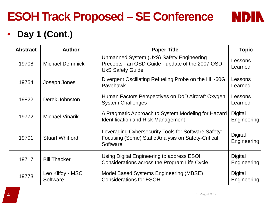# **ESOH Track Proposed – SE Conference**

#### • **Day 1 (Cont.)**

| <b>Abstract</b> | <b>Author</b>                | <b>Paper Title</b>                                                                                                      | <b>Topic</b>                  |
|-----------------|------------------------------|-------------------------------------------------------------------------------------------------------------------------|-------------------------------|
| 19708           | <b>Michael Demmick</b>       | Unmanned System (UxS) Safety Engineering<br>Precepts - an OSD Guide - update of the 2007 OSD<br><b>UxS Safety Guide</b> | Lessons<br>Learned            |
| 19754           | Joseph Jones                 | Divergent Oscillating Refueling Probe on the HH-60G<br>Pavehawk                                                         | Lessons<br>Learned            |
| 19822           | Derek Johnston               | Human Factors Perspectives on DoD Aircraft Oxygen<br><b>System Challenges</b>                                           | Lessons<br>Learned            |
| 19772           | <b>Michael Vinarik</b>       | A Pragmatic Approach to System Modeling for Hazard<br><b>Identification and Risk Management</b>                         | <b>Digital</b><br>Engineering |
| 19701           | <b>Stuart Whitford</b>       | Leveraging Cybersecurity Tools for Software Safety:<br>Focusing (Some) Static Analysis on Safety-Critical<br>Software   | <b>Digital</b><br>Engineering |
| 19717           | <b>Bill Thacker</b>          | Using Digital Engineering to address ESOH<br>Considerations across the Program Life Cycle                               | <b>Digital</b><br>Engineering |
| 19773           | Leo Kilfoy - MSC<br>Software | Model Based Systems Engineering (MBSE)<br><b>Considerations for ESOH</b>                                                | <b>Digital</b><br>Engineering |

**NDIN**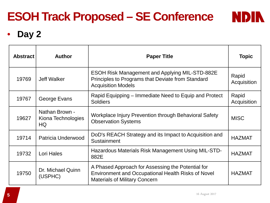

**NDIN** 

## **ESOH Track Proposed – SE Conference**

### • **Day 2**

| <b>Abstract</b> | <b>Author</b>                              | <b>Paper Title</b>                                                                                                                                     | <b>Topic</b>         |
|-----------------|--------------------------------------------|--------------------------------------------------------------------------------------------------------------------------------------------------------|----------------------|
| 19769           | <b>Jeff Walker</b>                         | <b>ESOH Risk Management and Applying MIL-STD-882E</b><br>Principles to Programs that Deviate from Standard<br><b>Acquisition Models</b>                | Rapid<br>Acquisition |
| 19767           | George Evans                               | Rapid Equipping – Immediate Need to Equip and Protect<br><b>Soldiers</b>                                                                               | Rapid<br>Acquisition |
| 19627           | Nathan Brown -<br>Kiona Technologies<br>HQ | Workplace Injury Prevention through Behavioral Safety<br><b>Observation Systems</b>                                                                    | <b>MISC</b>          |
| 19714           | <b>Patricia Underwood</b>                  | DoD's REACH Strategy and its Impact to Acquisition and<br>Sustainment                                                                                  | <b>HAZMAT</b>        |
| 19732           | Lori Hales                                 | Hazardous Materials Risk Management Using MIL-STD-<br>882E                                                                                             | <b>HAZMAT</b>        |
| 19750           | Dr. Michael Quinn<br>(USPHC)               | A Phased Approach for Assessing the Potential for<br><b>Environment and Occupational Health Risks of Novel</b><br><b>Materials of Military Concern</b> | <b>HAZMAT</b>        |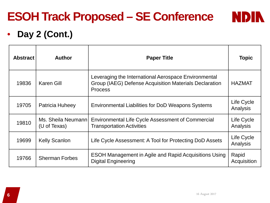# **ESOH Track Proposed – SE Conference**

### **NDIN**

#### • **Day 2 (Cont.)**

| <b>Abstract</b> | <b>Author</b>                       | <b>Paper Title</b>                                                                                                               | <b>Topic</b>           |
|-----------------|-------------------------------------|----------------------------------------------------------------------------------------------------------------------------------|------------------------|
| 19836           | <b>Karen Gill</b>                   | Leveraging the International Aerospace Environmental<br>Group (IAEG) Defense Acquisition Materials Declaration<br><b>Process</b> | <b>HAZMAT</b>          |
| 19705           | Patricia Huheey                     | <b>Environmental Liabilities for DoD Weapons Systems</b>                                                                         | Life Cycle<br>Analysis |
| 19810           | Ms. Sheila Neumannl<br>(U of Texas) | <b>Environmental Life Cycle Assessment of Commercial</b><br><b>Transportation Activities</b>                                     | Life Cycle<br>Analysis |
| 19699           | <b>Kelly Scanlon</b>                | Life Cycle Assessment: A Tool for Protecting DoD Assets                                                                          | Life Cycle<br>Analysis |
| 19766           | <b>Sherman Forbes</b>               | <b>ESOH Management in Agile and Rapid Acquisitions Using</b><br><b>Digital Engineering</b>                                       | Rapid<br>Acquisition   |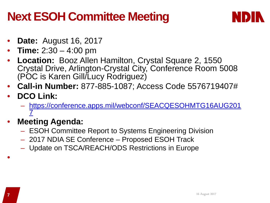## **Next ESOH Committee Meeting**



- **Date:** August 16, 2017
- **Time:** 2:30 4:00 pm
- **Location:** Booz Allen Hamilton, Crystal Square 2, 1550 Crystal Drive, Arlington-Crystal City, Conference Room 5008 (POC is Karen Gill/Lucy Rodriguez)
- **Call-in Number:** 877-885-1087; Access Code 5576719407#
- **DCO Link:**
	- [https://conference.apps.mil/webconf/SEACQESOHMTG16AUG201](https://conference.apps.mil/webconf/SEACQESOHMTG16AUG2017) [7](https://conference.apps.mil/webconf/SEACQESOHMTG16AUG2017)
- **Meeting Agenda:** 
	- ESOH Committee Report to Systems Engineering Division
	- 2017 NDIA SE Conference Proposed ESOH Track
	- Update on TSCA/REACH/ODS Restrictions in Europe

•